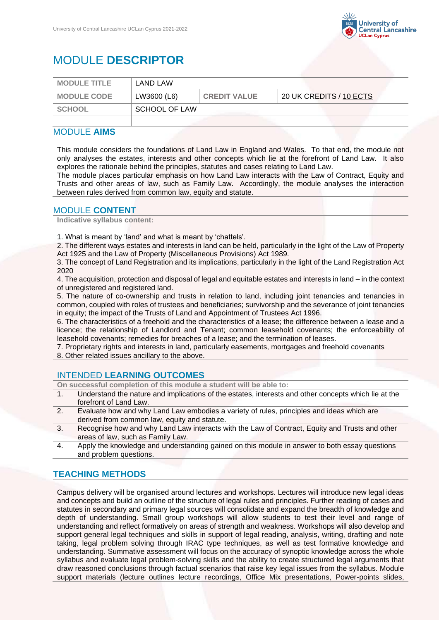

# MODULE **DESCRIPTOR**

| <b>MODULE TITLE</b> | LAND LAW             |                     |                         |
|---------------------|----------------------|---------------------|-------------------------|
| <b>MODULE CODE</b>  | LW3600 (L6)          | <b>CREDIT VALUE</b> | 20 UK CREDITS / 10 ECTS |
| <b>SCHOOL</b>       | <b>SCHOOL OF LAW</b> |                     |                         |
|                     |                      |                     |                         |

## MODULE **AIMS**

This module considers the foundations of Land Law in England and Wales. To that end, the module not only analyses the estates, interests and other concepts which lie at the forefront of Land Law. It also explores the rationale behind the principles, statutes and cases relating to Land Law.

The module places particular emphasis on how Land Law interacts with the Law of Contract, Equity and Trusts and other areas of law, such as Family Law. Accordingly, the module analyses the interaction between rules derived from common law, equity and statute.

### MODULE **CONTENT**

**Indicative syllabus content:**

1. What is meant by 'land' and what is meant by 'chattels'.

2. The different ways estates and interests in land can be held, particularly in the light of the Law of Property Act 1925 and the Law of Property (Miscellaneous Provisions) Act 1989.

3. The concept of Land Registration and its implications, particularly in the light of the Land Registration Act 2020

4. The acquisition, protection and disposal of legal and equitable estates and interests in land – in the context of unregistered and registered land.

5. The nature of co-ownership and trusts in relation to land, including joint tenancies and tenancies in common, coupled with roles of trustees and beneficiaries; survivorship and the severance of joint tenancies in equity; the impact of the Trusts of Land and Appointment of Trustees Act 1996.

6. The characteristics of a freehold and the characteristics of a lease; the difference between a lease and a licence; the relationship of Landlord and Tenant; common leasehold covenants; the enforceability of leasehold covenants; remedies for breaches of a lease; and the termination of leases.

7. Proprietary rights and interests in land, particularly easements, mortgages and freehold covenants

8. Other related issues ancillary to the above.

#### INTENDED **LEARNING OUTCOMES**

**On successful completion of this module a student will be able to:**

- 1. Understand the nature and implications of the estates, interests and other concepts which lie at the forefront of Land Law.
- 2. Evaluate how and why Land Law embodies a variety of rules, principles and ideas which are derived from common law, equity and statute.
- 3. Recognise how and why Land Law interacts with the Law of Contract, Equity and Trusts and other areas of law, such as Family Law.
- 4. Apply the knowledge and understanding gained on this module in answer to both essay questions and problem questions.

# **TEACHING METHODS**

Campus delivery will be organised around lectures and workshops. Lectures will introduce new legal ideas and concepts and build an outline of the structure of legal rules and principles. Further reading of cases and statutes in secondary and primary legal sources will consolidate and expand the breadth of knowledge and depth of understanding. Small group workshops will allow students to test their level and range of understanding and reflect formatively on areas of strength and weakness. Workshops will also develop and support general legal techniques and skills in support of legal reading, analysis, writing, drafting and note taking, legal problem solving through IRAC type techniques, as well as test formative knowledge and understanding. Summative assessment will focus on the accuracy of synoptic knowledge across the whole syllabus and evaluate legal problem-solving skills and the ability to create structured legal arguments that draw reasoned conclusions through factual scenarios that raise key legal issues from the syllabus. Module support materials (lecture outlines lecture recordings, Office Mix presentations, Power-points slides,